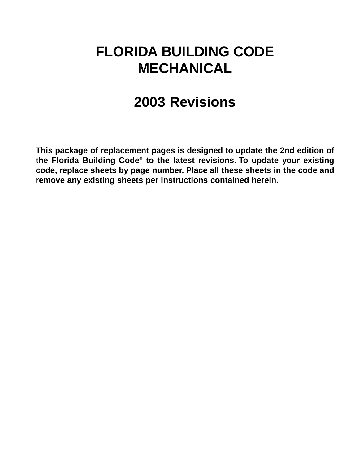# **FLORIDA BUILDING CODE MECHANICAL**

# **2003 Revisions**

**This package of replacement pages is designed to update the 2nd edition of the Florida Building Code® to the latest revisions. To update your existing code, replace sheets by page number. Place all these sheets in the code and remove any existing sheets per instructions contained herein.**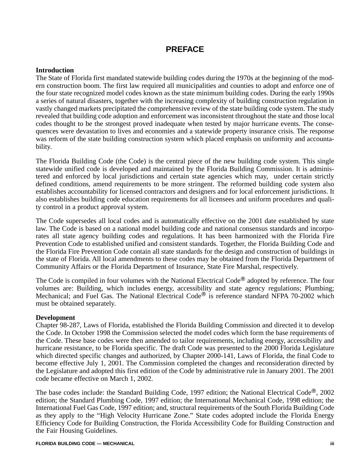# **PREFACE**

### **Introduction**

The State of Florida first mandated statewide building codes during the 1970s at the beginning of the modern construction boom. The first law required all municipalities and counties to adopt and enforce one of the four state recognized model codes known as the state minimum building codes. During the early 1990s a series of natural disasters, together with the increasing complexity of building construction regulation in vastly changed markets precipitated the comprehensive review of the state building code system. The study revealed that building code adoption and enforcement was inconsistent throughout the state and those local codes thought to be the strongest proved inadequate when tested by major hurricane events. The consequences were devastation to lives and economies and a statewide property insurance crisis. The response was reform of the state building construction system which placed emphasis on uniformity and accountability.

The Florida Building Code (the Code) is the central piece of the new building code system. This single statewide unified code is developed and maintained by the Florida Building Commission. It is administered and enforced by local jurisdictions and certain state agencies which may, under certain strictly defined conditions, amend requirements to be more stringent. The reformed building code system also establishes accountability for licensed contractors and designers and for local enforcement jurisdictions. It also establishes building code education requirements for all licensees and uniform procedures and quality control in a product approval system.

The Code supersedes all local codes and is automatically effective on the 2001 date established by state law. The Code is based on a national model building code and national consensus standards and incorporates all state agency building codes and regulations. It has been harmonized with the Florida Fire Prevention Code to established unified and consistent standards. Together, the Florida Building Code and the Florida Fire Prevention Code contain all state standards for the design and construction of buildings in the state of Florida. All local amendments to these codes may be obtained from the Florida Department of Community Affairs or the Florida Department of Insurance, State Fire Marshal, respectively.

The Code is compiled in four volumes with the National Electrical Code<sup> $\&$ </sup> adopted by reference. The four volumes are: Building, which includes energy, accessibility and state agency regulations; Plumbing; Mechanical; and Fuel Gas. The National Electrical Code<sup>®</sup> is reference standard NFPA 70-2002 which must be obtained separately.

## **Development**

Chapter 98-287, Laws of Florida, established the Florida Building Commission and directed it to develop the Code. In October 1998 the Commission selected the model codes which form the base requirements of the Code. These base codes were then amended to tailor requirements, including energy, accessibility and hurricane resistance, to be Florida specific. The draft Code was presented to the 2000 Florida Legislature which directed specific changes and authorized, by Chapter 2000-141, Laws of Florida, the final Code to become effective July 1, 2001. The Commission completed the changes and reconsideration directed by the Legislature and adopted this first edition of the Code by administrative rule in January 2001. The 2001 code became effective on March 1, 2002.

The base codes include: the Standard Building Code, 1997 edition; the National Electrical Code<sup>®</sup>, 2002 edition; the Standard Plumbing Code, 1997 edition; the International Mechanical Code, 1998 edition; the International Fuel Gas Code, 1997 edition; and, structural requirements of the South Florida Building Code as they apply to the "High Velocity Hurricane Zone." State codes adopted include the Florida Energy Efficiency Code for Building Construction, the Florida Accessibility Code for Building Construction and the Fair Housing Guidelines.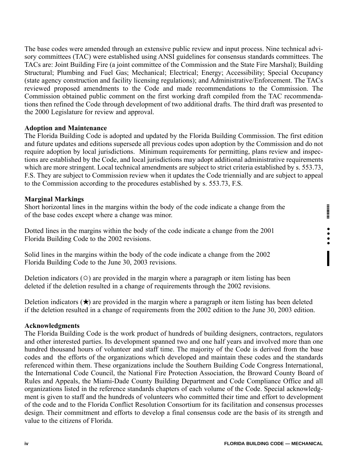The base codes were amended through an extensive public review and input process. Nine technical advisory committees (TAC) were established using ANSI guidelines for consensus standards committees. The TACs are: Joint Building Fire (a joint committee of the Commission and the State Fire Marshal); Building Structural; Plumbing and Fuel Gas; Mechanical; Electrical; Energy; Accessibility; Special Occupancy (state agency construction and facility licensing regulations); and Administrative/Enforcement. The TACs reviewed proposed amendments to the Code and made recommendations to the Commission. The Commission obtained public comment on the first working draft compiled from the TAC recommendations then refined the Code through development of two additional drafts. The third draft was presented to the 2000 Legislature for review and approval.

## **Adoption and Maintenance**

The Florida Building Code is adopted and updated by the Florida Building Commission. The first edition and future updates and editions supersede all previous codes upon adoption by the Commission and do not require adoption by local jurisdictions. Minimum requirements for permitting, plans review and inspections are established by the Code, and local jurisdictions may adopt additional administrative requirements which are more stringent. Local technical amendments are subject to strict criteria established by s. 553.73, F.S. They are subject to Commission review when it updates the Code triennially and are subject to appeal to the Commission according to the procedures established by s. 553.73, F.S.

## **Marginal Markings**

Short horizontal lines in the margins within the body of the code indicate a change from the of the base codes except where a change was minor.

Dotted lines in the margins within the body of the code indicate a change from the 2001 Florida Building Code to the 2002 revisions.

Solid lines in the margins within the body of the code indicate a change from the 2002 Florida Building Code to the June 30, 2003 revisions.

Deletion indicators  $(\vec{x})$  are provided in the margin where a paragraph or item listing has been deleted if the deletion resulted in a change of requirements through the 2002 revisions.

Deletion indicators  $(\star)$  are provided in the margin where a paragraph or item listing has been deleted if the deletion resulted in a change of requirements from the 2002 edition to the June 30, 2003 edition.

### **Acknowledgments**

The Florida Building Code is the work product of hundreds of building designers, contractors, regulators and other interested parties. Its development spanned two and one half years and involved more than one hundred thousand hours of volunteer and staff time. The majority of the Code is derived from the base codes and the efforts of the organizations which developed and maintain these codes and the standards referenced within them. These organizations include the Southern Building Code Congress International, the International Code Council, the National Fire Protection Association, the Broward County Board of Rules and Appeals, the Miami-Dade County Building Department and Code Compliance Office and all organizations listed in the reference standards chapters of each volume of the Code. Special acknowledgment is given to staff and the hundreds of volunteers who committed their time and effort to development of the code and to the Florida Conflict Resolution Consortium for its facilitation and consensus processes design. Their commitment and efforts to develop a final consensus code are the basis of its strength and value to the citizens of Florida.

• • • •

**The Contract**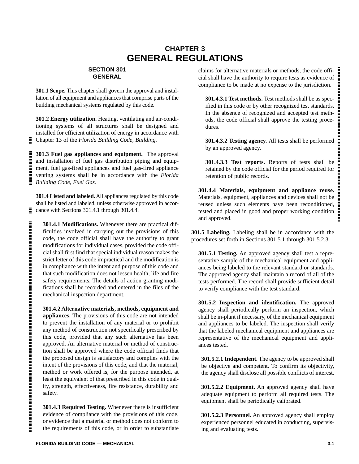# **CHAPTER 3 GENERAL REGULATIONS**

#### **SECTION 301 GENERAL**

**301.1 Scope.** This chapter shall govern the approval and installation of all equipment and appliances that comprise parts of the building mechanical systems regulated by this code.

**301.2 Energy utilization.** Heating, ventilating and air-conditioning systems of all structures shall be designed and installed for efficient utilization of energy in accordance with Chapter 13 of the *Florida Building Code, Building.*

**301.3 Fuel gas appliances and equipment.** The approval and installation of fuel gas distribution piping and equipment, fuel gas-fired appliances and fuel gas-fired appliance venting systems shall be in accordance with the *Florida Building Code, Fuel Gas.*

Ξ

**301.4 Listed and labeled.**All appliances regulated by this code shall be listed and labeled, unless otherwise approved in accordance with Sections 301.4.1 through 301.4.4.

**301.4.1 Modifications.** Whenever there are practical difficulties involved in carrying out the provisions of this code, the code official shall have the authority to grant modifications for individual cases, provided the code official shall first find that special individual reason makes the strict letter of this code impractical and the modification is in compliance with the intent and purpose of this code and that such modification does not lessen health, life and fire safety requirements. The details of action granting modifications shall be recorded and entered in the files of the mechanical inspection department.

**301.4.2 Alternative materials, methods, equipment and appliances.** The provisions of this code are not intended to prevent the installation of any material or to prohibit any method of construction not specifically prescribed by this code, provided that any such alternative has been approved. An alternative material or method of construction shall be approved where the code official finds that the proposed design is satisfactory and complies with the intent of the provisions of this code, and that the material, method or work offered is, for the purpose intended, at least the equivalent of that prescribed in this code in quality, strength, effectiveness, fire resistance, durability and safety.

**301.4.3 Required Testing.** Whenever there is insufficient evidence of compliance with the provisions of this code, or evidence that a material or method does not conform to the requirements of this code, or in order to substantiate claims for alternative materials or methods, the code official shall have the authority to require tests as evidence of compliance to be made at no expense to the jurisdiction.

**301.4.3.1 Test methods.** Test methods shall be as specified in this code or by other recognized test standards. In the absence of recognized and accepted test methods, the code official shall approve the testing procedures.

**301.4.3.2 Testing agency.** All tests shall be performed by an approved agency.

**301.4.3.3 Test reports.** Reports of tests shall be retained by the code official for the period required for retention of public records.

**301.4.4 Materials, equipment and appliance reuse.** Materials, equipment, appliances and devices shall not be reused unless such elements have been reconditioned, tested and placed in good and proper working condition and approved.

**301.5 Labeling.** Labeling shall be in accordance with the procedures set forth in Sections 301.5.1 through 301.5.2.3.

**301.5.1 Testing.** An approved agency shall test a representative sample of the mechanical equipment and appliances being labeled to the relevant standard or standards. The approved agency shall maintain a record of all of the tests performed. The record shall provide sufficient detail to verify compliance with the test standard.

**301.5.2 Inspection and identification.** The approved agency shall periodically perform an inspection, which shall be in-plant if necessary, of the mechanical equipment and appliances to be labeled. The inspection shall verify that the labeled mechanical equipment and appliances are representative of the mechanical equipment and appliances tested.

**301.5.2.1 Independent.** The agency to be approved shall be objective and competent. To confirm its objectivity, the agency shall disclose all possible conflicts of interest.

**301.5.2.2 Equipment.** An approved agency shall have adequate equipment to perform all required tests. The equipment shall be periodically calibrated.

**301.5.2.3 Personnel.** An approved agency shall employ experienced personnel educated in conducting, supervising and evaluating tests.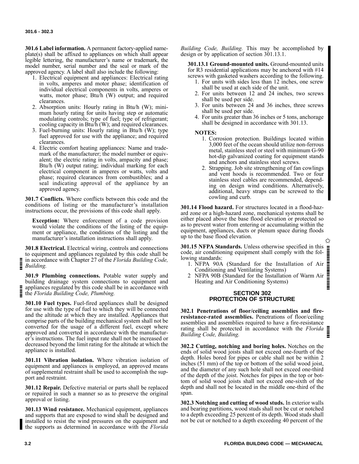**301.6 Label information.** A permanent factory-applied nameplate(s) shall be affixed to appliances on which shall appear legible lettering, the manufacturer's name or trademark, the model number, serial number and the seal or mark of the approved agency. A label shall also include the following:

- 1. Electrical equipment and appliances: Electrical rating in volts, amperes and motor phase; identification of individual electrical components in volts, amperes or watts, motor phase; Btu/h (W) output; and required clearances.
- 2. Absorption units: Hourly rating in Btu/h (W); minimum hourly rating for units having step or automatic modulating controls; type of fuel; type of refrigerant; cooling capacity in Btu/h (W); and required clearances.
- 3. Fuel-burning units: Hourly rating in Btu/h (W); type fuel approved for use with the appliance; and required clearances.
- 4. Electric comfort heating appliances: Name and trademark of the manufacturer; the model number or equivalent; the electric rating in volts, ampacity and phase; Btu/h (W) output rating; individual marking for each electrical component in amperes or watts, volts and phase; required clearances from combustibles; and a seal indicating approval of the appliance by an approved agency.

**301.7 Conflicts.** Where conflicts between this code and the conditions of listing or the manufacturer's installation instructions occur, the provisions of this code shall apply.

**Exception:** Where enforcement of a code provision would violate the conditions of the listing of the equipment or appliance, the conditions of the listing and the manufacturer's installation instructions shall apply.

**301.8 Electrical.** Electrical wiring, controls and connections to equipment and appliances regulated by this code shall be in accordance with Chapter 27 of the *Florida Building Code, Building.*

**301.9 Plumbing connections.** Potable water supply and building drainage system connections to equipment and appliances regulated by this code shall be in accordance with **Exampliances regulated by this code shall** the *Florida Building Code, Plumbing.* 

**301.10 Fuel types.** Fuel-fired appliances shall be designed for use with the type of fuel to which they will be connected and the altitude at which they are installed. Appliances that comprise parts of the building mechanical system shall not be converted for the usage of a different fuel, except where approved and converted in accordance with the manufacturer's instructions. The fuel input rate shall not be increased or decreased beyond the limit rating for the altitude at which the appliance is installed.

**301.11 Vibration isolation.** Where vibration isolation of equipment and appliances is employed, an approved means of supplemental restraint shall be used to accomplish the support and restraint.

**301.12 Repair.** Defective material or parts shall be replaced or repaired in such a manner so as to preserve the original approval or listing.

**301.13 Wind resistance.** Mechanical equipment, appliances and supports that are exposed to wind shall be designed and installed to resist the wind pressures on the equipment and the supports as determined in accordance with the *Florida* *Building Code, Building.* This may be accomplished by design or by application of section 301.13.1.

**301.13.1 Ground-mounted units.** Ground-mounted units for R3 residential applications may be anchored with #14 screws with gasketed washers according to the following.

- 1. For units with sides less than 12 inches, one screw shall be used at each side of the unit.
- 2. For units between 12 and 24 inches, two screws shall be used per side.
- 3. For units between 24 and 36 inches, three screws shall be used per side.
- 4. For units greater than 36 inches or 5 tons, anchorage shall be designed in accordance with 301.13.

#### **NOTES:**

- 1. Corrosion protection. Buildings located within 3,000 feet of the ocean should utilize non-ferrous metal, stainless steel or steel with minimum G-90 hot-dip galvanized coating for equipment stands and anchors and stainless steel screws.
- 2. Strapping. Job site strengthening of fan cowlings and vent hoods is recommended. Two or four stainless steel cables are recommended, depending on design wind conditions. Alternatively, additional, heavy straps can be screwed to the cowling and curb.

**301.14 Flood hazard.** For structures located in a flood-hazard zone or a high-hazard zone, mechanical systems shall be either placed above the base flood elevation or protected so as to prevent water from entering or accumulating within the equipment, appliances, ducts or plenum space during floods up to the base flood elevation.

**301.15 NFPA Standards.** Unless otherwise specified in this code, air conditioning equipment shall comply with the following standards: ✩

- 1. NFPA 90A (Standard for the Installation of Air Conditioning and Ventilating Systems)
- 2 NFPA 90B (Standard for the Installation of Warm Air ,,,,,,,,,,, Heating and Air Conditioning Systems)

#### **SECTION 302 PROTECTION OF STRUCTURE**

**302.1 Penetrations of floor/ceiling assemblies and fireresistance-rated assemblies.** Penetrations of floor/ceiling assemblies and assemblies required to have a fire-resistance rating shall be protected in accordance with the *Florida Building Code, Building.*

**302.2 Cutting, notching and boring holes.** Notches on the ends of solid wood joists shall not exceed one-fourth of the depth. Holes bored for pipes or cable shall not be within 2 inches (51 mm) of the top or bottom of the solid wood joist, and the diameter of any such hole shall not exceed one-third of the depth of the joist. Notches for pipes in the top or bottom of solid wood joists shall not exceed one-sixth of the depth and shall not be located in the middle one-third of the span.

**302.3 Notching and cutting of wood studs.** In exterior walls and bearing partitions, wood studs shall not be cut or notched to a depth exceeding 25 percent of its depth. Wood studs shall not be cut or notched to a depth exceeding 40 percent of the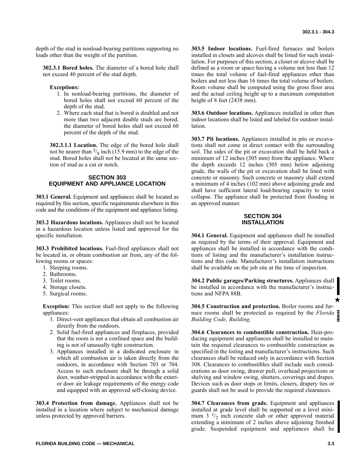depth of the stud in nonload-bearing partitions supporting no loads other than the weight of the partition.

**302.3.1 Bored holes.** The diameter of a bored hole shall not exceed 40 percent of the stud depth.

**Exceptions:**

- 1. In nonload-bearing partitions, the diameter of bored holes shall not exceed 60 percent of the depth of the stud.
- 2. Where each stud that is bored is doubled and not more than two adjacent double studs are bored, the diameter of bored holes shall not exceed 60 percent of the depth of the stud.

**302.3.1.1 Location.** The edge of the bored hole shall not be nearer than  $\frac{5}{8}$  inch (15.9 mm) to the edge of the stud. Bored holes shall not be located at the same section of stud as a cut or notch.

#### **SECTION 303 EQUIPMENT AND APPLIANCE LOCATION**

**303.1 General.** Equipment and appliances shall be located as required by this section, specific requirements elsewhere in this code and the conditions of the equipment and appliance listing.

**303.2 Hazardous locations.** Appliances shall not be located in a hazardous location unless listed and approved for the specific installation.

**303.3 Prohibited locations.** Fuel-fired appliances shall not be located in, or obtain combustion air from, any of the following rooms or spaces:

- 1. Sleeping rooms.
- 2. Bathrooms.
- 3. Toilet rooms.
- 4. Storage closets.
- 5. Surgical rooms.

**Exception:** This section shall not apply to the following appliances:

- 1. Direct-vent appliances that obtain all combustion air directly from the outdoors.
- 2. Solid fuel-fired appliances and fireplaces, provided that the room is not a confined space and the building is not of unusually tight construction.
- 3. Appliances installed in a dedicated enclosure in which all combustion air is taken directly from the outdoors, in accordance with Section 703 or 704. Access to such enclosure shall be through a solid door, weather-stripped in accordance with the exterior door air leakage requirements of the energy code and equipped with an approved self-closing device.

**303.4 Protection from damage.** Appliances shall not be installed in a location where subject to mechanical damage unless protected by approved barriers.

**303.5 Indoor locations.** Fuel-fired furnaces and boilers installed in closets and alcoves shall be listed for such installation. For purposes of this section, a closet or alcove shall be defined as a room or space having a volume not less than 12 times the total volume of fuel-fired appliances other than boilers and not less than 16 times the total volume of boilers. Room volume shall be computed using the gross floor area and the actual ceiling height up to a maximum computation height of 8 feet (2438 mm).

**303.6 Outdoor locations.** Appliances installed in other than indoor locations shall be listed and labeled for outdoor installation.

**303.7 Pit locations.** Appliances installed in pits or excavations shall not come in direct contact with the surrounding soil. The sides of the pit or excavation shall be held back a minimum of 12 inches (305 mm) from the appliance. Where the depth exceeds 12 inches (305 mm) below adjoining grade, the walls of the pit or excavation shall be lined with concrete or masonry. Such concrete or masonry shall extend a minimum of 4 inches (102 mm) above adjoining grade and shall have sufficient lateral load-bearing capacity to resist collapse. The appliance shall be protected from flooding in an approved manner.

#### **SECTION 304 INSTALLATION**

**304.1 General.** Equipment and appliances shall be installed as required by the terms of their approval. Equipment and appliances shall be installed in accordance with the conditions of listing and the manufacturer's installation instructions and this code. Manufacturer's installation instructions shall be available on the job site at the time of inspection.

**304.2 Public garages/Parking structures.** Appliances shall be installed in accordance with the manufacturer's instructions and NFPA 88B.

**304.5 Construction and protection.** Boiler rooms and furnace rooms shall be protected as required by the *Florida Building Code, Building.*  $\star$ 

**304.6 Clearances to combustible construction.** Heat-producing equipment and appliances shall be installed to maintain the required clearances to combustible construction as specified in the listing and manufacturer's instructions. Such clearances shall be reduced only in accordance with Section 308. Clearances to combustibles shall include such considerations as door swing, drawer pull, overhead projections or shelving and window swing, shutters, coverings and drapes. Devices such as door stops or limits, closers, drapery ties or guards shall not be used to provide the required clearances.

**304.7 Clearances from grade.** Equipment and appliances installed at grade level shall be supported on a level minimum  $3 \frac{1}{2}$  inch concrete slab or other approved material extending a minimum of 2 inches above adjoining finished grade. Suspended equipment and appliances shall be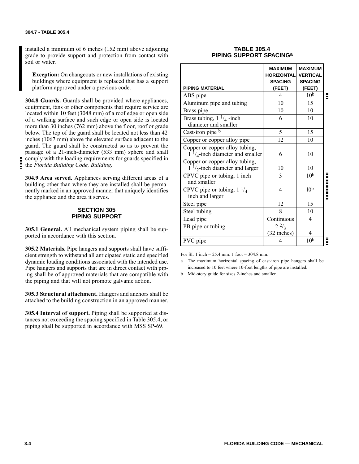installed a minimum of 6 inches (152 mm) above adjoining grade to provide support and protection from contact with soil or water.

**Exception:** On changeouts or new installations of existing buildings where equipment is replaced that has a support platform approved under a previous code.

**304.8 Guards.** Guards shall be provided where appliances, equipment, fans or other components that require service are located within 10 feet (3048 mm) of a roof edge or open side of a walking surface and such edge or open side is located more than 30 inches (762 mm) above the floor, roof or grade below. The top of the guard shall be located not less than 42 inches (1067 mm) above the elevated surface adjacent to the guard. The guard shall be constructed so as to prevent the passage of a 21-inch-diameter (533 mm) sphere and shall comply with the loading requirements for guards specified in **the** *Florida Building Code, Building*.

**304.9 Area served.** Appliances serving different areas of a building other than where they are installed shall be permanently marked in an approved manner that uniquely identifies the appliance and the area it serves.

#### **SECTION 305 PIPING SUPPORT**

**305.1 General.** All mechanical system piping shall be supported in accordance with this section.

**305.2 Materials.** Pipe hangers and supports shall have sufficient strength to withstand all anticipated static and specified dynamic loading conditions associated with the intended use. Pipe hangers and supports that are in direct contact with piping shall be of approved materials that are compatible with the piping and that will not promote galvanic action.

**305.3 Structural attachment.** Hangers and anchors shall be attached to the building construction in an approved manner.

**305.4 Interval of support.** Piping shall be supported at distances not exceeding the spacing specified in Table 305.4, or piping shall be supported in accordance with MSS SP-69.

#### **TABLE 305.4 PIPING SUPPORT SPACINGa**

| <b>PIPING MATERIAL</b>                                                     | <b>MAXIMUM</b><br><b>HORIZONTAL</b><br><b>SPACING</b><br>(FEET) | <b>MAXIMUM</b><br><b>VERTICAL</b><br><b>SPACING</b><br>(FEET) |                                                                                                                                                                                                                                   |
|----------------------------------------------------------------------------|-----------------------------------------------------------------|---------------------------------------------------------------|-----------------------------------------------------------------------------------------------------------------------------------------------------------------------------------------------------------------------------------|
| ABS pipe                                                                   | 4                                                               | 10 <sup>b</sup>                                               | Ξ                                                                                                                                                                                                                                 |
| Aluminum pipe and tubing                                                   | 10                                                              | 15                                                            |                                                                                                                                                                                                                                   |
| Brass pipe                                                                 | 10                                                              | 10                                                            |                                                                                                                                                                                                                                   |
| Brass tubing, $1 \frac{1}{4}$ -inch<br>diameter and smaller                | 6                                                               | 10                                                            |                                                                                                                                                                                                                                   |
| Cast-iron pipe b                                                           | 5                                                               | 15                                                            |                                                                                                                                                                                                                                   |
| Copper or copper alloy pipe                                                | 12                                                              | 10                                                            |                                                                                                                                                                                                                                   |
| Copper or copper alloy tubing,<br>$1^{1/4}$ -inch diameter and smaller     | 6                                                               | 10                                                            |                                                                                                                                                                                                                                   |
| Copper or copper alloy tubing,<br>$1\frac{1}{2}$ -inch diameter and larger | 10                                                              | 10                                                            |                                                                                                                                                                                                                                   |
| CPVC pipe or tubing, 1 inch<br>and smaller                                 | 3                                                               | 10 <sup>b</sup>                                               |                                                                                                                                                                                                                                   |
| CPVC pipe or tubing, $1 \frac{1}{4}$<br>inch and larger                    | 4                                                               | 10 <sup>b</sup>                                               | in de la componentación de la construction de la construction de la construction de la construction de la const<br>Construction de la construction de la construction de la construction de la construction de la construction de |
| Steel pipe                                                                 | 12                                                              | 15                                                            |                                                                                                                                                                                                                                   |
| Steel tubing                                                               | 8                                                               | 10                                                            |                                                                                                                                                                                                                                   |
| Lead pipe                                                                  | Continuous                                                      | 4                                                             |                                                                                                                                                                                                                                   |
| PB pipe or tubing                                                          | $2^{2/3}$<br>(32 inches)                                        | 4                                                             |                                                                                                                                                                                                                                   |
| PVC pipe                                                                   | 4                                                               | 10 <sup>b</sup>                                               | Ē                                                                                                                                                                                                                                 |

For SI: 1 inch = 25.4 mm: 1 foot = 304.8 mm.

a The maximum horizontal spacing of cast-iron pipe hangers shall be increased to 10 feet where 10-foot lengths of pipe are installed.

b Mid-story guide for sizes 2-inches and smaller.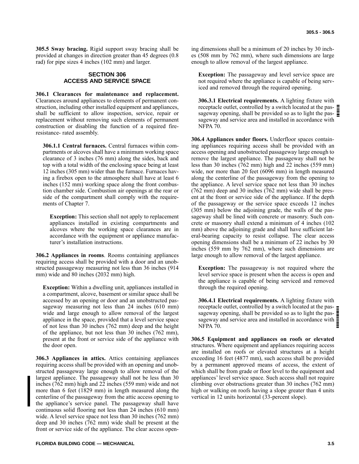**305.5 Sway bracing.** Rigid support sway bracing shall be provided at changes in direction greater than 45 degrees (0.8 rad) for pipe sizes 4 inches (102 mm) and larger.

#### **SECTION 306 ACCESS AND SERVICE SPACE**

**306.1 Clearances for maintenance and replacement.** Clearances around appliances to elements of permanent construction, including other installed equipment and appliances, shall be sufficient to allow inspection, service, repair or replacement without removing such elements of permanent construction or disabling the function of a required fireresistance- rated assembly.

**306.1.1 Central furnaces.** Central furnaces within compartments or alcoves shall have a minimum working space clearance of 3 inches (76 mm) along the sides, back and top with a total width of the enclosing space being at least 12 inches (305 mm) wider than the furnace. Furnaces having a firebox open to the atmosphere shall have at least 6 inches (152 mm) working space along the front combustion chamber side. Combustion air openings at the rear or side of the compartment shall comply with the requirements of Chapter 7.

**Exception:** This section shall not apply to replacement appliances installed in existing compartments and alcoves where the working space clearances are in accordance with the equipment or appliance manufacturer's installation instructions.

**306.2 Appliances in rooms**. Rooms containing appliances requiring access shall be provided with a door and an unobstructed passageway measuring not less than 36 inches (914 mm) wide and 80 inches (2032 mm) high.

**Exception:** Within a dwelling unit, appliances installed in a compartment, alcove, basement or similar space shall be accessed by an opening or door and an unobstructed passageway measuring not less than 24 inches (610 mm) wide and large enough to allow removal of the largest appliance in the space, provided that a level service space of not less than 30 inches (762 mm) deep and the height of the appliance, but not less than 30 inches (762 mm), present at the front or service side of the appliance with the door open.

**306.3 Appliances in attics.** Attics containing appliances requiring access shall be provided with an opening and unobstructed passageway large enough to allow removal of the largest appliance. The passageway shall not be less than 30 inches (762 mm) high and 22 inches (559 mm) wide and not more than 6 feet (1829 mm) in length measured along the centerline of the passageway from the attic access opening to the appliance's service panel. The passageway shall have continuous solid flooring not less than 24 inches (610 mm) wide. A level service space not less than 30 inches (762 mm) deep and 30 inches (762 mm) wide shall be present at the front or service side of the appliance. The clear access opening dimensions shall be a minimum of 20 inches by 30 inches (508 mm by 762 mm), where such dimensions are large enough to allow removal of the largest appliance.

**Exception:** The passageway and level service space are not required where the appliance is capable of being serviced and removed through the required opening.

**306.3.1 Electrical requirements.** A lighting fixture with receptacle outlet, controlled by a switch located at the passageway opening, shall be provided so as to light the pas- $\overline{\phantom{a}}$ sageway and service area and installed in accordance with NFPA 70.

**306.4 Appliances under floors.** Underfloor spaces containing appliances requiring access shall be provided with an access opening and unobstructed passageway large enough to remove the largest appliance. The passageway shall not be less than 30 inches (762 mm) high and 22 inches (559 mm) wide, nor more than 20 feet (6096 mm) in length measured along the centerline of the passageway from the opening to the appliance. A level service space not less than 30 inches (762 mm) deep and 30 inches (762 mm) wide shall be present at the front or service side of the appliance. If the depth of the passageway or the service space exceeds 12 inches (305 mm) below the adjoining grade, the walls of the passageway shall be lined with concrete or masonry. Such concrete or masonry shall extend a minimum of 4 inches (102 mm) above the adjoining grade and shall have sufficient lateral-bearing capacity to resist collapse. The clear access opening dimensions shall be a minimum of 22 inches by 30 inches (559 mm by 762 mm), where such dimensions are large enough to allow removal of the largest appliance.

**Exception:** The passageway is not required where the level service space is present when the access is open and the appliance is capable of being serviced and removed through the required opening.

**306.4.1 Electrical requirements.** A lighting fixture with receptacle outlet, controlled by a switch located at the pas- $\equiv$ sageway opening, shall be provided so as to light the passageway and service area and installed in accordance with NFPA 70.

**306.5 Equipment and appliances on roofs or elevated** structures. Where equipment and appliances requiring access are installed on roofs or elevated structures at a height exceeding 16 feet (4877 mm), such access shall be provided by a permanent approved means of access, the extent of which shall be from grade or floor level to the equipment and appliances' level service space. Such access shall not require climbing over obstructions greater than 30 inches (762 mm) high or walking on roofs having a slope greater than 4 units vertical in 12 units horizontal (33-percent slope).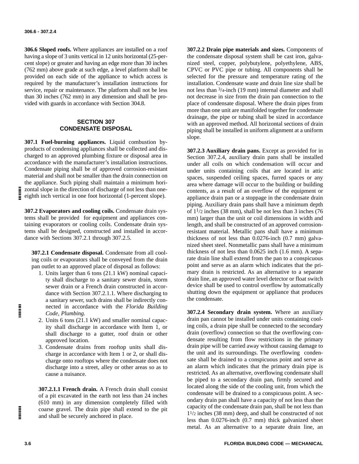**306.6 Sloped roofs.** Where appliances are installed on a roof having a slope of 3 units vertical in 12 units horizontal (25-percent slope) or greater and having an edge more than 30 inches (762 mm) above grade at such edge, a level platform shall be provided on each side of the appliance to which access is required by the manufacturer's installation instructions for service, repair or maintenance. The platform shall not be less than 30 inches (762 mm) in any dimension and shall be provided with guards in accordance with Section 304.8.

#### **SECTION 307 CONDENSATE DISPOSAL**

**307.1 Fuel-burning appliances.** Liquid combustion byproducts of condensing appliances shall be collected and discharged to an approved plumbing fixture or disposal area in accordance with the manufacturer's installation instructions. Condensate piping shall be of approved corrosion-resistant material and shall not be smaller than the drain connection on the appliance. Such piping shall maintain a minimum horizontal slope in the direction of discharge of not less than oneeighth inch vertical in one foot horizontal (1-percent slope).

**307.2 Evaporators and cooling coils.** Condensate drain systems shall be provided for equipment and appliances containing evaporators or cooling coils. Condensate drain systems shall be designed, constructed and installed in accordance with Sections 307.2.1 through 307.2.5.

**307.2.1 Condensate disposal.** Condensate from all cooling coils or evaporators shall be conveyed from the drain pan outlet to an approved place of disposal as follows:

- 1. Units larger than 6 tons (21.1 kW) nominal capacity shall discharge to a sanitary sewer drain, storm sewer drain or a French drain constructed in accordance with Section 307.2.1.1. Where discharging to a sanitary sewer, such drains shall be indirectly connected in accordance with the *Florida Building Code, Plumbing.*
- 2. Units 6 tons (21.1 kW) and smaller nominal capacity shall discharge in accordance with Item 1, or shall discharge to a gutter, roof drain or other approved location.
- 3. Condensate drains from rooftop units shall discharge in accordance with Item 1 or 2, or shall discharge onto rooftops where the condensate does not discharge into a street, alley or other areas so as to cause a nuisance.

**307.2.1.1 French drain.** A French drain shall consist of a pit excavated in the earth not less than 24 inches (610 mm) in any dimension completely filled with coarse gravel. The drain pipe shall extend to the pit and shall be securely anchored in place.

**307.2.2 Drain pipe materials and sizes.** Components of the condensate disposal system shall be cast iron, galvanized steel, copper, polybutylene, polyethylene, ABS, CPVC or PVC pipe or tubing. All components shall be selected for the pressure and temperature rating of the installation. Condensate waste and drain line size shall be not less than 3/4-inch (19 mm) internal diameter and shall not decrease in size from the drain pan connection to the place of condensate disposal. Where the drain pipes from more than one unit are manifolded together for condensate drainage, the pipe or tubing shall be sized in accordance with an approved method. All horizontal sections of drain piping shall be installed in uniform alignment at a uniform slope.

**307.2.3 Auxiliary drain pans.** Except as provided for in Section 307.2.4, auxiliary drain pans shall be installed under all coils on which condensation will occur and under units containing coils that are located in attic spaces, suspended ceiling spaces, furred spaces or any area where damage will occur to the building or building contents, as a result of an overflow of the equipment or appliance drain pan or a stoppage in the condensate drain piping. Auxiliary drain pans shall have a minimum depth of  $1\frac{1}{2}$  inches (38 mm), shall be not less than 3 inches (76 mm) larger than the unit or coil dimensions in width and length, and shall be constructed of an approved corrosionresistant material. Metallic pans shall have a minimum thickness of not less than 0.0276-inch (0.7 mm) galvanized sheet steel. Nonmetallic pans shall have a minimum thickness of not less than 0.0625 inch (1.6 mm). A separate drain line shall extend from the pan to a conspicuous point and serve as an alarm which indicates that the primary drain is restricted. As an alternative to a separate drain line, an approved water level detector or float switch device shall be used to control overflow by automatically shutting down the equipment or appliance that produces the condensate.

**307.2.4 Secondary drain system.** Where an auxiliary drain pan cannot be installed under units containing cooling coils, a drain pipe shall be connected to the secondary drain (overflow) connection so that the overflowing condensate resulting from flow restrictions in the primary drain pipe will be carried away without causing damage to the unit and its surroundings. The overflowing condensate shall be drained to a conspicuous point and serve as an alarm which indicates that the primary drain pipe is restricted. As an alternative, overflowing condensate shall be piped to a secondary drain pan, firmly secured and located along the side of the cooling unit, from which the condensate will be drained to a conspicuous point. A secondary drain pan shall have a capacity of not less than the capacity of the condensate drain pan, shall be not less than 11/2 inches (38 mm) deep, and shall be constructed of not less than 0.0276-inch (0.7 mm) thick galvanized sheet metal. As an alternative to a separate drain line, an

i<br>III<br>III

i<br>I<br>I<br>I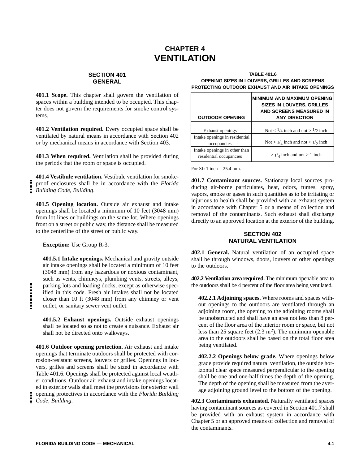# **CHAPTER 4 VENTILATION**

#### **SECTION 401 GENERAL**

**401.1 Scope.** This chapter shall govern the ventilation of spaces within a building intended to be occupied. This chapter does not govern the requirements for smoke control systems.

**401.2 Ventilation required.** Every occupied space shall be ventilated by natural means in accordance with Section 402 or by mechanical means in accordance with Section 403.

**401.3 When required.** Ventilation shall be provided during the periods that the room or space is occupied.

**401.4 Vestibule ventilation.** Vestibule ventilation for smokeproof enclosures shall be in accordance with the *Florida Building Code, Building*.

**401.5 Opening location.** Outside air exhaust and intake openings shall be located a minimum of 10 feet (3048 mm) from lot lines or buildings on the same lot. Where openings front on a street or public way, the distance shall be measured to the centerline of the street or public way.

**Exception:** Use Group R-3.

**401.5.1 Intake openings.** Mechanical and gravity outside air intake openings shall be located a minimum of 10 feet (3048 mm) from any hazardous or noxious contaminant, such as vents, chimneys, plumbing vents, streets, alleys, parking lots and loading docks, except as otherwise specified in this code. Fresh air intakes shall not be located closer than 10 ft (3048 mm) from any chimney or vent outlet, or sanitary sewer vent outlet.

**401.5.2 Exhaust openings.** Outside exhaust openings shall be located so as not to create a nuisance. Exhaust air shall not be directed onto walkways.

**401.6 Outdoor opening protection.** Air exhaust and intake openings that terminate outdoors shall be protected with corrosion-resistant screens, louvers or grilles. Openings in louvers, grilles and screens shall be sized in accordance with Table 401.6. Openings shall be protected against local weather conditions. Outdoor air exhaust and intake openings located in exterior walls shall meet the provisions for exterior wall opening protectives in accordance with the *Florida Building Code, Building*.

#### **TABLE 401.6 OPENING SIZES IN LOUVERS, GRILLES AND SCREENS PROTECTING OUTDOOR EXHAUST AND AIR INTAKE OPENINGS**

| <b>OUTDOOR OPENING</b>                                   | <b>MINIMUM AND MAXIMUM OPENING</b><br><b>SIZES IN LOUVERS, GRILLES</b><br><b>AND SCREENS MEASURED IN</b><br><b>ANY DIRECTION</b> |
|----------------------------------------------------------|----------------------------------------------------------------------------------------------------------------------------------|
| Exhaust openings                                         | Not $\langle 1/4 \rangle$ inch and not $> 1/2$ inch                                                                              |
| Intake openings in residential<br>occupancies            | Not < $1/4$ inch and not > $1/2$ inch                                                                                            |
| Intake openings in other than<br>residential occupancies | $> 1/4$ inch and not $> 1$ inch                                                                                                  |

For SI**:** 1 inch = 25.4 mm.

**401.7 Contaminant sources.** Stationary local sources producing air-borne particulates, heat, odors, fumes, spray, vapors, smoke or gases in such quantities as to be irritating or injurious to health shall be provided with an exhaust system in accordance with Chapter 5 or a means of collection and removal of the contaminants. Such exhaust shall discharge directly to an approved location at the exterior of the building.

#### **SECTION 402 NATURAL VENTILATION**

**402.1 General.** Natural ventilation of an occupied space shall be through windows, doors, louvers or other openings to the outdoors.

**402.2 Ventilation area required.** The minimum openable area to the outdoors shall be 4 percent of the floor area being ventilated.

**402.2.1 Adjoining spaces.** Where rooms and spaces without openings to the outdoors are ventilated through an adjoining room, the opening to the adjoining rooms shall be unobstructed and shall have an area not less than 8 percent of the floor area of the interior room or space, but not less than 25 square feet  $(2.3 \text{ m}^2)$ . The minimum openable area to the outdoors shall be based on the total floor area being ventilated.

**402.2.2 Openings below grade.** Where openings below grade provide required natural ventilation, the outside horizontal clear space measured perpendicular to the opening shall be one and one-half times the depth of the opening. The depth of the opening shall be measured from the average adjoining ground level to the bottom of the opening.

**402.3 Contaminants exhausted.** Naturally ventilated spaces having contaminant sources as covered in Section 401.7 shall be provided with an exhaust system in accordance with Chapter 5 or an approved means of collection and removal of the contaminants.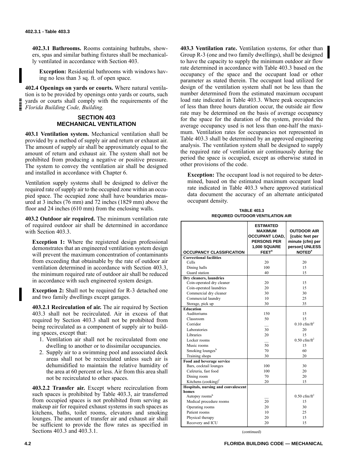**402.3.1 Bathrooms.** Rooms containing bathtubs, showers, spas and similar bathing fixtures shall be mechanically ventilated in accordance with Section 403.

**Exception:** Residential bathrooms with windows having no less than 3 sq. ft. of open space.

**402.4 Openings on yards or courts.** Where natural ventilation is to be provided by openings onto yards or courts, such yards or courts shall comply with the requirements of the yards or courts snan comp.,<br>*Florida Building Code, Building.* 

#### **SECTION 403 MECHANICAL VENTILATION**

**403.1 Ventilation system.** Mechanical ventilation shall be provided by a method of supply air and return or exhaust air. The amount of supply air shall be approximately equal to the amount of return and exhaust air. The system shall not be prohibited from producing a negative or positive pressure. The system to convey the ventilation air shall be designed and installed in accordance with Chapter 6.

Ventilation supply systems shall be designed to deliver the required rate of supply air to the occupied zone within an occupied space. The occupied zone shall have boundaries measured at 3 inches (76 mm) and 72 inches (1829 mm) above the floor and 24 inches (610 mm) from the enclosing walls.

**403.2 Outdoor air required.** The minimum ventilation rate of required outdoor air shall be determined in accordance with Section 403.3.

**Exception 1:** Where the registered design professional demonstrates that an engineered ventilation system design will prevent the maximum concentration of contaminants from exceeding that obtainable by the rate of outdoor air ventilation determined in accordance with Section 403.3, the minimum required rate of outdoor air shall be reduced in accordance with such engineered system design.

**Exception 2:** Shall not be required for R-3 detached one and two family dwellings except garages.

**403.2.1 Recirculation of air.** The air required by Section 403.3 shall not be recirculated. Air in excess of that required by Section 403.3 shall not be prohibited from being recirculated as a component of supply air to building spaces, except that:

- 1. Ventilation air shall not be recirculated from one dwelling to another or to dissimilar occupancies.
- 2. Supply air to a swimming pool and associated deck areas shall not be recirculated unless such air is dehumidified to maintain the relative humidity of the area at 60 percent or less. Air from this area shall not be recirculated to other spaces.

**403.2.2 Transfer air.** Except where recirculation from such spaces is prohibited by Table 403.3, air transferred from occupied spaces is not prohibited from serving as makeup air for required exhaust systems in such spaces as kitchens, baths, toilet rooms, elevators and smoking lounges. The amount of transfer air and exhaust air shall be sufficient to provide the flow rates as specified in Sections 403.3 and 403.3.1.

**403.3 Ventilation rate.** Ventilation systems, for other than Group R-3 (one and two family dwellings), shall be designed to have the capacity to supply the minimum outdoor air flow rate determined in accordance with Table 403.3 based on the occupancy of the space and the occupant load or other parameter as stated therein. The occupant load utilized for design of the ventilation system shall not be less than the number determined from the estimated maximum occupant load rate indicated in Table 403.3. Where peak occupancies of less than three hours duration occur, the outside air flow rate may be determined on the basis of average occupancy for the space for the duration of the system, provided the average occupancy used is not less than one-half the maximum. Ventilation rates for occupancies not represented in Table 403.3 shall be determined by an approved engineering analysis. The ventilation system shall be designed to supply the required rate of ventilation air continuously during the period the space is occupied, except as otherwise stated in other provisions of the code.

**Exception:** The occupant load is not required to be determined, based on the estimated maximum occupant load rate indicated in Table 403.3 where approved statistical data document the accuracy of an alternate anticipated occupant density.

**TABLE 403.3 REQUIRED OUTDOOR VENTILATION AIR**

| <b>OCCUPANCY CLASSIFICATION</b>     | <b>ESTIMATED</b><br><b>MAXIMUM</b><br><b>OCCUPANT LOAD,</b><br><b>PERSONS PER</b><br>1.000 SQUARE<br>FEET <sup>a</sup> | <b>OUTDOOR AIR</b><br>[cubic feet per<br>minute (cfm) per<br>person] UNLESS<br><b>NOTED<sup>e</sup></b> |
|-------------------------------------|------------------------------------------------------------------------------------------------------------------------|---------------------------------------------------------------------------------------------------------|
| <b>Correctional facilities</b>      |                                                                                                                        |                                                                                                         |
| Cells                               | 20                                                                                                                     | 20                                                                                                      |
| Dining halls                        | 100                                                                                                                    | 15                                                                                                      |
| Guard station                       | 40                                                                                                                     | 15                                                                                                      |
| Dry cleaners, laundries             |                                                                                                                        |                                                                                                         |
| Coin-operated dry cleaner           | 20                                                                                                                     | 15                                                                                                      |
| Coin-operated laundries             | 20                                                                                                                     | 15                                                                                                      |
| Commercial dry cleaner              | 30                                                                                                                     | 30                                                                                                      |
| Commercial laundry                  | 10                                                                                                                     | 25                                                                                                      |
| Storage, pick up                    | 30                                                                                                                     | 35                                                                                                      |
| <b>Education</b>                    |                                                                                                                        |                                                                                                         |
| Auditoriums                         | 150                                                                                                                    | 15                                                                                                      |
| Classroom                           | 50                                                                                                                     | 15                                                                                                      |
| Corridor                            |                                                                                                                        | $0.10$ cfm/ft <sup>2</sup>                                                                              |
| Laboratories                        | 30                                                                                                                     | 20                                                                                                      |
| Libraries                           | 20                                                                                                                     | 15                                                                                                      |
| Locker rooms                        |                                                                                                                        | $0.50$ cfm/ft <sup>2</sup>                                                                              |
| Music rooms                         | 50                                                                                                                     | 15                                                                                                      |
| Smoking lounges <sup>b</sup>        | 70                                                                                                                     | 60                                                                                                      |
| Training shops                      | 30                                                                                                                     | 20                                                                                                      |
| Food and beverage service           |                                                                                                                        |                                                                                                         |
| Bars, cocktail lounges              | 100                                                                                                                    | 30                                                                                                      |
| Cafeteria, fast food                | 100                                                                                                                    | 20                                                                                                      |
| Dining room                         | 70                                                                                                                     | 20                                                                                                      |
| Kitchens (cooking) <sup>f</sup>     | 20                                                                                                                     | 15                                                                                                      |
| Hospitals, nursing and convalescent |                                                                                                                        |                                                                                                         |
| homes                               |                                                                                                                        |                                                                                                         |
| Autopsy rooms <sup>b</sup>          |                                                                                                                        | $0.50$ cfm/ft <sup>2</sup>                                                                              |
| Medical procedure rooms             | 20                                                                                                                     | 15                                                                                                      |
| Operating rooms                     | 20                                                                                                                     | 30                                                                                                      |
| Patient rooms                       | 10                                                                                                                     | 25                                                                                                      |
| Physical therapy                    | 20                                                                                                                     | 15                                                                                                      |
| Recovery and ICU                    | 20                                                                                                                     | 15                                                                                                      |

(continued)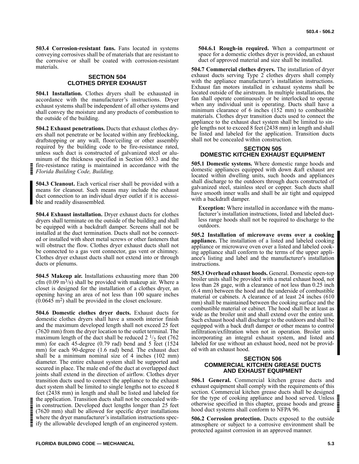**503.4 Corrosion-resistant fans.** Fans located in systems conveying corrosives shall be of materials that are resistant to the corrosive or shall be coated with corrosion-resistant materials.

#### **SECTION 504 CLOTHES DRYER EXHAUST**

**504.1 Installation.** Clothes dryers shall be exhausted in accordance with the manufacturer's instructions. Dryer exhaust systems shall be independent of all other systems and shall convey the moisture and any products of combustion to the outside of the building.

**504.2 Exhaust penetrations.** Ducts that exhaust clothes dryers shall not penetrate or be located within any fireblocking, draftstopping or any wall, floor/ceiling or other assembly required by the building code to be fire-resistance rated, unless such duct is constructed of galvanized steel or aluminum of the thickness specified in Section 603.3 and the fire-resistance rating is maintained in accordance with the *Florida Building Code, Building.*

**504.3 Cleanout.** Each vertical riser shall be provided with a means for cleanout. Such means may include the exhaust duct connection to an individual dryer outlet if it is accessible and readily disassembled.

**504.4 Exhaust installation.** Dryer exhaust ducts for clothes dryers shall terminate on the outside of the building and shall be equipped with a backdraft damper. Screens shall not be installed at the duct termination. Ducts shall not be connected or installed with sheet metal screws or other fasteners that will obstruct the flow. Clothes dryer exhaust ducts shall not be connected to a gas vent connector, gas vent or chimney. Clothes dryer exhaust ducts shall not extend into or through ducts or plenums.

**504.5 Makeup air.** Installations exhausting more than 200 cfm  $(0.09 \text{ m}^3/\text{s})$  shall be provided with makeup air. Where a closet is designed for the installation of a clothes dryer, an opening having an area of not less than 100 square inches  $(0.0645 \text{ m}^2)$  shall be provided in the closet enclosure.

**504.6 Domestic clothes dryer ducts.** Exhaust ducts for domestic clothes dryers shall have a smooth interior finish and the maximum developed length shall not exceed 25 feet (7620 mm) from the dryer location to the outlet terminal. The maximum length of the duct shall be reduced  $2 \frac{1}{2}$  feet (762) mm) for each 45-degree (0.79 rad) bend and 5 feet (1524 mm) for each 90-degree (1.6 rad) bend. The exhaust duct shall be a minimum nominal size of 4 inches (102 mm) diameter. The entire exhaust system shall be supported and secured in place. The male end of the duct at overlapped duct joints shall extend in the direction of airflow. Clothes dryer transition ducts used to connect the appliance to the exhaust duct system shall be limited to single lengths not to exceed 8 feet (2438 mm) in length and shall be listed and labeled for the application. Transition ducts shall not be concealed within construction. Developed duct lengths longer than 25 feet (7620 mm) shall be allowed for specific dryer installations where the dryer manufacturer's installation instructions spec- $\equiv$  ify the allowable developed length of an engineered system.

**504.6.1 Rough-in required.** When a compartment or space for a domestic clothes dryer is provided, an exhaust duct of approved material and size shall be installed.

**504.7 Commercial clothes dryers.** The installation of dryer exhaust ducts serving Type 2 clothes dryers shall comply with the appliance manufacturer's installation instructions. Exhaust fan motors installed in exhaust systems shall be located outside of the airstream. In multiple installations, the fan shall operate continuously or be interlocked to operate when any individual unit is operating. Ducts shall have a minimum clearance of 6 inches (152 mm) to combustible materials. Clothes dryer transition ducts used to connect the appliance to the exhaust duct system shall be limited to single lengths not to exceed 8 feet (2438 mm) in length and shall be listed and labeled for the application. Transition ducts shall not be concealed within construction.

#### **SECTION 505 DOMESTIC KITCHEN EXHAUST EQUIPMENT**

**505.1 Domestic systems.** Where domestic range hoods and domestic appliances equipped with down &aft exhaust are located within dwelling units, such hoods and appliances shall discharge to the outdoors through ducts constructed of galvanized steel, stainless steel or copper. Such ducts shall have smooth inner walls and shall be air tight and equipped with a backdraft damper.

**Exception:** Where installed in accordance with the manufacturer's installation instructions, listed and labeled ductless range hoods shall not be required to discharge to the outdoors.

**505.2 Installation of microwave ovens over a cooking appliance.** The installation of a listed and labeled cooking appliance or microwave oven over a listed and labeled cooking appliance shall conform to the terms of the upper appliance's listing and label and the manufacturer's installation instructions.

**505.3 Overhead exhaust hoods.** General. Domestic open-top broiler units shall be provided with a metal exhaust hood, not less than 28 gage, with a clearance of not less than 0.25 inch (6.4 mm) between the hood and the underside of combustible material or cabinets. A clearance of at least 24 inches (610 mm) shall be maintained between the cooking surface and the combustible material or cabinet. The hood shall be at least as wide as the broiler unit and shall extend over the entire unit. Such exhaust hood shall discharge to the outdoors and shall be equipped with a back draft damper or other means to control infiltration/exfiltration when not in operation. Broiler units incorporating an integral exhaust system, and listed and labeled for use without an exhaust hood, need not be provided with an exhaust hood.

#### **SECTION 506 COMMERCIAL KITCHEN GREASE DUCTS AND EXHAUST EQUIPMENT**

**506.1 General.** Commercial kitchen grease ducts and exhaust equipment shall comply with the requirements of this section. Commercial kitchen grease ducts shall be designed for the type of cooking appliance and hood served. Unless otherwise specified in this chapter, grease hoods and grease hood duct systems shall conform to NFPA 96.

**506.2 Corrosion protection.** Ducts exposed to the outside atmosphere or subject to a corrosive environment shall be protected against corrosion in an approved manner.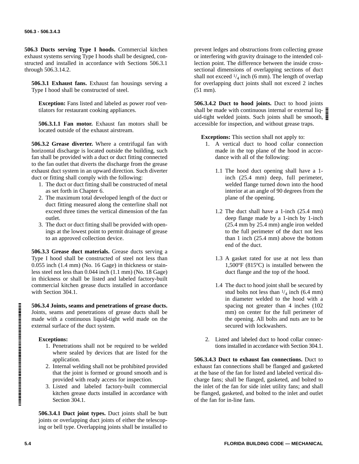**506.3 Ducts serving Type I hoods.** Commercial kitchen exhaust systems serving Type I hoods shall be designed, constructed and installed in accordance with Sections 506.3.1 through 506.3.14.2.

**506.3.1 Exhaust fans.** Exhaust fan housings serving a Type I hood shall be constructed of steel.

**Exception:** Fans listed and labeled as power roof ventilators for restaurant cooking appliances.

**506.3.1.1 Fan motor.** Exhaust fan motors shall be located outside of the exhaust airstream.

**506.3.2 Grease diverter.** Where a centrifugal fan with horizontal discharge is located outside the building, such fan shall be provided with a duct or duct fitting connected to the fan outlet that diverts the discharge from the grease exhaust duct system in an upward direction. Such diverter duct or fitting shall comply with the following:

- 1. The duct or duct fitting shall be constructed of metal as set forth in Chapter 6.
- 2. The maximum total developed length of the duct or duct fitting measured along the centerline shall not exceed three times the vertical dimension of the fan outlet.
- 3. The duct or duct fitting shall be provided with openings at the lowest point to permit drainage of grease to an approved collection device.

**506.3.3 Grease duct materials.** Grease ducts serving a Type I hood shall be constructed of steel not less than 0.055 inch (1.4 mm) (No. 16 Gage) in thickness or stainless steel not less than 0.044 inch (1.1 mm) (No. 18 Gage) in thickness or shall be listed and labeled factory-built commercial kitchen grease ducts installed in accordance with Section 304.1.

**506.3.4 Joints, seams and penetrations of grease ducts.** Joints, seams and penetrations of grease ducts shall be made with a continuous liquid-tight weld made on the external surface of the duct system.

#### **Exceptions:**

- 1. Penetrations shall not be required to be welded where sealed by devices that are listed for the application.
- 2. Internal welding shall not be prohibited provided that the joint is formed or ground smooth and is provided with ready access for inspection.
- 3. Listed and labeled factory-built commercial kitchen grease ducts installed in accordance with Section 304.1.

**506.3.4.1 Duct joint types.** Duct joints shall be butt joints or overlapping duct joints of either the telescoping or bell type. Overlapping joints shall be installed to

prevent ledges and obstructions from collecting grease or interfering with gravity drainage to the intended collection point. The difference between the inside crosssectional dimensions of overlapping sections of duct shall not exceed  $\frac{1}{4}$  inch (6 mm). The length of overlap for overlapping duct joints shall not exceed 2 inches (51 mm).

**506.3.4.2 Duct to hood joints.** Duct to hood joints shall be made with continuous internal or external liq- $\overline{\mathbf{B}}$ uid-tight welded joints. Such joints shall be smooth,  $\equiv$ accessible for inspection, and without grease traps.

**Exceptions:** This section shall not apply to:

- 1. A vertical duct to hood collar connection made in the top plane of the hood in accordance with all of the following:
	- 1.1 The hood duct opening shall have a 1 inch (25.4 mm) deep, full perimeter, welded flange turned down into the hood interior at an angle of 90 degrees from the plane of the opening.
	- 1.2 The duct shall have a 1-inch (25.4 mm) deep flange made by a 1-inch by 1-inch (25.4 mm by 25.4 mm) angle iron welded to the full perimeter of the duct not less than 1 inch (25.4 mm) above the bottom end of the duct.
	- 1.3 A gasket rated for use at not less than 1,500ºF (815ºC) is installed between the duct flange and the top of the hood.
	- 1.4 The duct to hood joint shall be secured by stud bolts not less than  $\frac{1}{4}$  inch (6.4 mm) in diameter welded to the hood with a spacing not greater than 4 inches (102 mm) on center for the full perimeter of the opening. All bolts and nuts are to be secured with lockwashers.
- 2. Listed and labeled duct to hood collar connections installed in accordance with Section 304.1.

**506.3.4.3 Duct to exhaust fan connections.** Duct to exhaust fan connections shall be flanged and gasketed at the base of the fan for listed and labeled vertical discharge fans; shall be flanged, gasketed, and bolted to the inlet of the fan for side inlet utility fans; and shall be flanged, gasketed, and bolted to the inlet and outlet of the fan for in-line fans.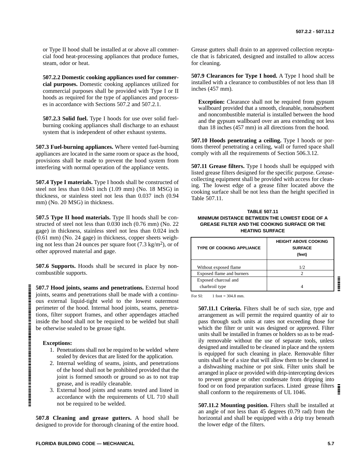or Type II hood shall be installed at or above all commercial food heat-processing appliances that produce fumes, steam, odor or heat.

**507.2.2 Domestic cooking appliances used for commercial purposes.** Domestic cooking appliances utilized for commercial purposes shall be provided with Type I or II hoods as required for the type of appliances and processes in accordance with Sections 507.2 and 507.2.1.

**507.2.3 Solid fuel.** Type I hoods for use over solid fuelburning cooking appliances shall discharge to an exhaust system that is independent of other exhaust systems.

**507.3 Fuel-burning appliances.** Where vented fuel-burning appliances are located in the same room or space as the hood, provisions shall be made to prevent the hood system from interfering with normal operation of the appliance vents.

**507.4 Type I materials.** Type I hoods shall be constructed of steel not less than 0.043 inch (1.09 mm) (No. 18 MSG) in thickness, or stainless steel not less than 0.037 inch (0.94 mm) (No. 20 MSG) in thickness.

**507.5 Type II hood materials.** Type II hoods shall be constructed of steel not less than 0.030 inch (0.76 mm) (No. 22 gage) in thickness, stainless steel not less than 0.024 inch (0.61 mm) (No. 24 gage) in thickness, copper sheets weighing not less than 24 ounces per square foot  $(7.3 \text{ kg/m}^2)$ , or of other approved material and gage.

**507.6 Supports.** Hoods shall be secured in place by noncombustible supports.

**507.7 Hood joints, seams and penetrations.** External hood joints, seams and penetrations shall be made with a continuous external liquid-tight weld to the lowest outermost perimeter of the hood. Internal hood joints, seams, penetrations, filter support frames, and other appendages attached inside the hood shall not be required to be welded but shall be otherwise sealed to be grease tight.

#### **Exceptions:**

- 1. Penetrations shall not be required to be welded where sealed by devices that are listed for the application.
- 2. Internal welding of seams, joints, and penetrations of the hood shall not be prohibited provided that the joint is formed smooth or ground so as to not trap grease, and is readily cleanable.
- 3. External hood joints and seams tested and listed in accordance with the requirements of UL 710 shall not be required to be welded.

**507.8 Cleaning and grease gutters.** A hood shall be designed to provide for thorough cleaning of the entire hood. Grease gutters shall drain to an approved collection receptacle that is fabricated, designed and installed to allow access for cleaning.

**507.9 Clearances for Type I hood.** A Type I hood shall be installed with a clearance to combustibles of not less than 18 inches (457 mm).

**Exception:** Clearance shall not be required from gypsum wallboard provided that a smooth, cleanable, nonabsorbent and noncombustible material is installed between the hood and the gypsum wallboard over an area extending not less than 18 inches (457 mm) in all directions from the hood.

**507.10 Hoods penetrating a ceiling.** Type I hoods or portions thereof penetrating a ceiling, wall or furred space shall comply with all the requirements of Section 506.3.12.

**507.11 Grease filters.** Type I hoods shall be equipped with listed grease filters designed for the specific purpose. Greasecollecting equipment shall be provided with access for cleaning. The lowest edge of a grease filter located above the cooking surface shall be not less than the height specified in Table 507.11.

#### **TABLE 507.11 MINIMUM DISTANCE BETWEEN THE LOWEST EDGE OF A GREASE FILTER AND THE COOKING SURFACE OR THE HEATING SURFACE**

| <b>TYPE OF COOKING APPLIANCE</b> | <b>HEIGHT ABOVE COOKING</b><br><b>SURFACE</b><br>(feet) |  |
|----------------------------------|---------------------------------------------------------|--|
| Without exposed flame            | 1/2                                                     |  |
| Exposed flame and burners        |                                                         |  |
| Exposed charcoal and             |                                                         |  |
| charbroil type                   |                                                         |  |

For  $SI$ : 1 foot = 304.8 mm.

**507.11.1 Criteria.** Filters shall be of such size, type and arrangement as will permit the required quantity of air to pass through such units at rates not exceeding those for which the filter or unit was designed or approved. Filter units shall be installed in frames or holders so as to be readily removable without the use of separate tools, unless designed and installed to be cleaned in place and the system is equipped for such cleaning in place. Removable filter units shall be of a size that will allow them to be cleaned in a dishwashing machine or pot sink. Filter units shall be arranged in place or provided with drip-intercepting devices to prevent grease or other condensate from dripping into food or on food preparation surfaces. Listed grease filters  $\frac{1}{2}$ shall conform to the requirements of UL 1046.

**507.11.2 Mounting position.** Filters shall be installed at an angle of not less than 45 degrees (0.79 rad) from the horizontal and shall be equipped with a drip tray beneath the lower edge of the filters.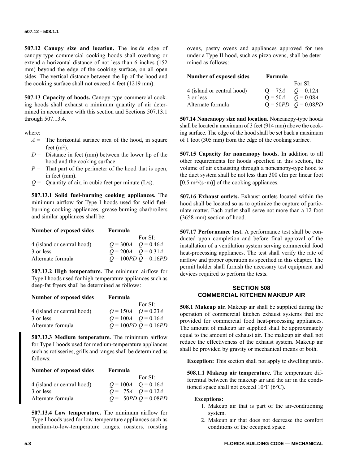**507.12 Canopy size and location.** The inside edge of canopy-type commercial cooking hoods shall overhang or extend a horizontal distance of not less than 6 inches (152 mm) beyond the edge of the cooking surface, on all open sides. The vertical distance between the lip of the hood and the cooking surface shall not exceed 4 feet (1219 mm).

**507.13 Capacity of hoods.** Canopy-type commercial cooking hoods shall exhaust a minimum quantity of air determined in accordance with this section and Sections 507.13.1 through 507.13.4.

where:

- $A =$  The horizontal surface area of the hood, in square feet  $(m<sup>2</sup>)$ .
- $D =$  Distance in feet (mm) between the lower lip of the hood and the cooking surface.
- $P =$  That part of the perimeter of the hood that is open, in feet (mm).
- $Q =$  Quantity of air, in cubic feet per minute (L/s).

**507.13.1 Solid fuel-burning cooking appliances.** The minimum airflow for Type I hoods used for solid fuelburning cooking appliances, grease-burning charbroilers and similar appliances shall be:

| Number of exposed sides    | Formula                  |  |
|----------------------------|--------------------------|--|
|                            | For SI:                  |  |
| 4 (island or central hood) | $Q = 300A$ $Q = 0.46A$   |  |
| 3 or less                  | $Q = 200A$ $Q = 0.31A$   |  |
| Alternate formula          | $Q = 100PD$ $Q = 0.16PD$ |  |

**507.13.2 High temperature.** The minimum airflow for Type I hoods used for high-temperature appliances such as deep-fat fryers shall be determined as follows:

| Number of exposed sides    | Formula                  |
|----------------------------|--------------------------|
|                            | For SI:                  |
| 4 (island or central hood) | $Q = 150A$ $Q = 0.23A$   |
| 3 or less                  | $Q = 100A$ $Q = 0.16A$   |
| Alternate formula          | $Q = 100PD$ $Q = 0.16PD$ |

**507.13.3 Medium temperature.** The minimum airflow for Type I hoods used for medium-temperature appliances such as rotisseries, grills and ranges shall be determined as follows:

| Number of exposed sides    | Formula                 |
|----------------------------|-------------------------|
|                            | For SI:                 |
| 4 (island or central hood) | $Q = 100A$ $Q = 0.16A$  |
| 3 or less                  | $Q = 75A$ $Q = 0.12A$   |
| Alternate formula          | $Q = 50PD$ $Q = 0.08PD$ |

**507.13.4 Low temperature.** The minimum airflow for Type I hoods used for low-temperature appliances such as medium-to-low-temperature ranges, roasters, roasting

ovens, pastry ovens and appliances approved for use under a Type II hood, such as pizza ovens, shall be determined as follows:

#### **Number of exposed sides Formula**

|                            |           | For SI:                 |
|----------------------------|-----------|-------------------------|
| 4 (island or central hood) | $Q = 75A$ | $Q = 0.12A$             |
| 3 or less                  | $Q = 50A$ | $Q = 0.08A$             |
| Alternate formula          |           | $Q = 50PD$ $Q = 0.08PD$ |

**507.14 Noncanopy size and location.** Noncanopy-type hoods shall be located a maximum of 3 feet (914 mm) above the cooking surface. The edge of the hood shall be set back a maximum of 1 foot (305 mm) from the edge of the cooking surface.

**507.15 Capacity for noncanopy hoods.** In addition to all other requirements for hoods specified in this section, the volume of air exhausting through a noncanopy-type hood to the duct system shall be not less than 300 cfm per linear foot  $[0.5 \text{ m}^3/(\text{s} \cdot \text{m})]$  of the cooking appliances.

**507.16 Exhaust outlets.** Exhaust outlets located within the hood shall be located so as to optimize the capture of particulate matter. Each outlet shall serve not more than a 12-foot (3658 mm) section of hood.

**507.17 Performance test.** A performance test shall be conducted upon completion and before final approval of the installation of a ventilation system serving commercial food heat-processing appliances. The test shall verify the rate of airflow and proper operation as specified in this chapter. The permit holder shall furnish the necessary test equipment and devices required to perform the tests.

#### **SECTION 508 COMMERCIAL KITCHEN MAKEUP AIR**

**508.1 Makeup air.** Makeup air shall be supplied during the operation of commercial kitchen exhaust systems that are provided for commercial food heat-processing appliances. The amount of makeup air supplied shall be approximately equal to the amount of exhaust air. The makeup air shall not reduce the effectiveness of the exhaust system. Makeup air shall be provided by gravity or mechanical means or both.

**Exception:** This section shall not apply to dwelling units.

**508.1.1 Makeup air temperature.** The temperature differential between the makeup air and the air in the conditioned space shall not exceed 10°F (6°C).

#### **Exceptions:**

- 1. Makeup air that is part of the air-conditioning system.
- 2. Makeup air that does not decrease the comfort conditions of the occupied space.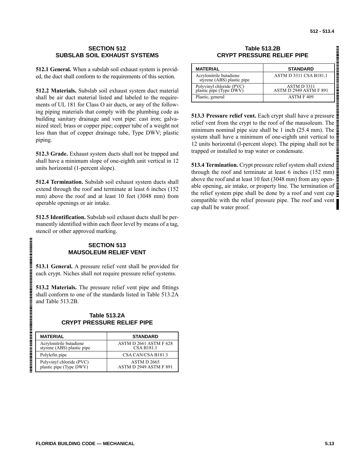#### **SECTION 512 SUBSLAB SOIL EXHAUST SYSTEMS**

**512.1 General.** When a subslab soil exhaust system is provided, the duct shall conform to the requirements of this section.

**512.2 Materials.** Subslab soil exhaust system duct material shall be air duct material listed and labeled to the requirements of UL 181 for Class O air ducts, or any of the following piping materials that comply with the plumbing code as building sanitary drainage and vent pipe: cast iron; galvanized steel; brass or copper pipe; copper tube of a weight not less than that of copper drainage tube, Type DWV; plastic piping.

**512.3 Grade.** Exhaust system ducts shall not be trapped and shall have a minimum slope of one-eighth unit vertical in 12 units horizontal (1-percent slope).

**512.4 Termination.** Subslab soil exhaust system ducts shall extend through the roof and terminate at least 6 inches (152 mm) above the roof and at least 10 feet (3048 mm) from operable openings or air intake.

**512.5 Identification.** Subslab soil exhaust ducts shall be permanently identified within each floor level by means of a tag, stencil or other approved marking.

#### **SECTION 513 MAUSOLEUM RELIEF VENT**

**513.1 General.** A pressure relief vent shall be provided for each crypt. Niches shall not require pressure relief systems.

,,,,,,,,,,,,,,,,,,,,,,,,,,,

**513.2 Materials.** The pressure relief vent pipe and fittings shall conform to one of the standards listed in Table 513.2A and Table 513.2B.

#### **Table 513.2A CRYPT PRESSURE RELIEF PIPE**

| <b>MATERIAL</b>            | <b>STANDARD</b>               |
|----------------------------|-------------------------------|
| Acrylonitrile butadiene    | ASTM D 2661 ASTM F 628        |
| styrene (ABS) plastic pipe | <b>CSA B181.1</b>             |
| Polylefin pipe             | CSA CAN/CSA B181.3            |
| Polyvinyl chloride (PVC)   | ASTM D 2665                   |
| plastic pipe (Type DWV)    | <b>ASTM D 2949 ASTM F 891</b> |

#### **Table 513.2B CRYPT PRESSURE RELIEF PIPE**

| <b>Table 513.2B</b><br><b>CRYPT PRESSURE RELIEF PIPE</b> |                                              |  |
|----------------------------------------------------------|----------------------------------------------|--|
| <b>MATERIAL</b>                                          | <b>STANDARD</b>                              |  |
| Acrylonitrile butadiene<br>styrene (ABS) plastic pipe    | <b>ASTM D 3311 CSA B181.1</b>                |  |
| Polyvinyl chloride (PVC)<br>plastic pipe (Type DWV)      | ASTM D 3311<br><b>ASTM D 2949 ASTM F 891</b> |  |
| Plastic, general                                         | ASTM F409                                    |  |

**513.3 Pressure relief vent.** Each crypt shall have a pressure relief vent from the crypt to the roof of the mausoleum. The minimum nominal pipe size shall be 1 inch (25.4 mm). The system shall have a minimum of one-eighth unit vertical to 12 units horizontal (1-percent slope). The piping shall not be trapped or installed to trap water or condensate.

**513.4 Termination.** Crypt pressure relief system shall extend through the roof and terminate at least 6 inches (152 mm)  $\equiv$ above the roof and at least 10 feet (3048 mm) from any openable opening, air intake, or property line. The termination of  $\Xi$ the relief system pipe shall be done by a roof and vent cap compatible with the relief pressure pipe. The roof and vent cap shall be water proof.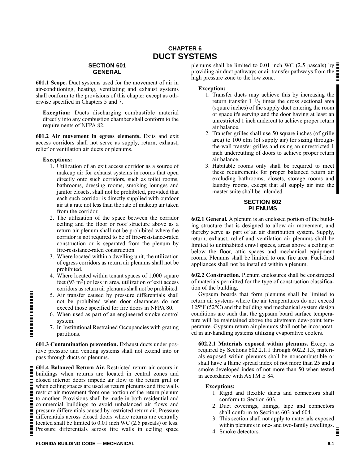# **CHAPTER 6 DUCT SYSTEMS**

#### **SECTION 601 GENERAL**

**601.1 Scope.** Duct systems used for the movement of air in air-conditioning, heating, ventilating and exhaust systems shall conform to the provisions of this chapter except as otherwise specified in Chapters 5 and 7.

**Exception:** Ducts discharging combustible material directly into any combustion chamber shall conform to the requirements of NFPA 82.

**601.2 Air movement in egress elements.** Exits and exit access corridors shall not serve as supply, return, exhaust, relief or ventilation air ducts or plenums.

#### **Exceptions:**

- 1. Utilization of an exit access corridor as a source of makeup air for exhaust systems in rooms that open directly onto such corridors, such as toilet rooms, bathrooms, dressing rooms, smoking lounges and janitor closets, shall not be prohibited, provided that each such corridor is directly supplied with outdoor air at a rate not less than the rate of makeup air taken from the corridor.
- 2. The utilization of the space between the corridor ceiling and the floor or roof structure above as a return air plenum shall not be prohibited where the corridor is not required to be of fire-resistance-rated construction or is separated from the plenum by fire-resistance-rated construction.
- 3. Where located within a dwelling unit, the utilization of egress corridors as return air plenums shall not be prohibited.
- 4. Where located within tenant spaces of 1,000 square feet  $(93 \text{ m}^2)$  or less in area, utilization of exit access corridors as return air plenums shall not be prohibited.
- 5. Air transfer caused by pressure differentials shall not be prohibited when door clearances do not exceed those specified for fire doors in NFPA 80.
- 6. When used as part of an engineered smoke control system.
- 7. In Institutional Restrained Occupancies with grating partitions.

**601.3 Contamination prevention.** Exhaust ducts under positive pressure and venting systems shall not extend into or pass through ducts or plenums.

**601.4 Balanced Return Air.** Restricted return air occurs in buildings when returns are located in central zones and closed interior doors impede air flow to the return grill or when ceiling spaces are used as return plenums and fire walls restrict air movement from one portion of the return plenum to another. Provisions shall be made in both residential and commercial buildings to avoid unbalanced air flows and pressure differentials caused by restricted return air. Pressure differentials across closed doors where returns are centrally located shall be limited to 0.01 inch WC (2.5 pascals) or less. Pressure differentials across fire walls in ceiling space plenums shall be limited to 0.01 inch WC (2.5 pascals) by  $\Xi$ providing air duct pathways or air transfer pathways from the high pressure zone to the low zone.

#### **Exception:**

- 1. Transfer ducts may achieve this by increasing the return transfer  $1 \frac{1}{2}$  times the cross sectional area (square inches) of the supply duct entering the room or space it's serving and the door having at least an unrestricted 1 inch undercut to achieve proper return air balance.
- 2. Transfer grilles shall use 50 square inches (of grille area) to 100 cfm (of supply air) for sizing throughthe-wall transfer grilles and using an unrestricted 1 inch undercutting of doors to achieve proper return air balance.
- 3. Habitable rooms only shall be required to meet these requirements for proper balanced return air excluding bathrooms, closets, storage rooms and laundry rooms, except that all supply air into the master suite shall be inlcuded.

#### **SECTION 602 PLENUMS**

**602.1 General.** A plenum is an enclosed portion of the building structure that is designed to allow air movement, and thereby serve as part of an air distribution system. Supply, return, exhaust, relief and ventilation air plenums shall be limited to uninhabited crawl spaces, areas above a ceiling or below the floor, attic spaces and mechanical equipment rooms. Plenums shall be limited to one fire area. Fuel-fired appliances shall not be installed within a plenum.

**602.2 Construction.** Plenum enclosures shall be constructed of materials permitted for the type of construction classification of the building.

Gypsum boards that form plenums shall be limited to return air systems where the air temperatures do not exceed 125°F (52°C) and the building and mechanical system design conditions are such that the gypsum board surface temperature will be maintained above the airstream dew-point temperature. Gypsum return air plenums shall not be incorporated in air-handling systems utilizing evaporative coolers.

**602.2.1 Materials exposed within plenums.** Except as required by Sections 602.2.1.1 through 602.2.1.3, materials exposed within plenums shall be noncombustible or shall have a flame spread index of not more than 25 and a smoke-developed index of not more than 50 when tested in accordance with ASTM E 84.

#### **Exceptions:**

- 1. Rigid and flexible ducts and connectors shall conform to Section 603.
- 2. Duct coverings, linings, tape and connectors shall conform to Sections 603 and 604.
- 3. This section shall not apply to materials exposed within plenums in one- and two-family dwellings.
- 4. Smoke detectors.

İ

Ξ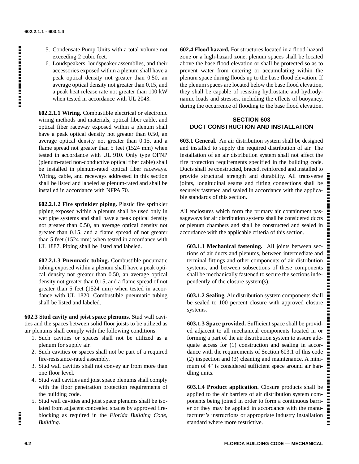- 5. Condensate Pump Units with a total volume not exceeding 2 cubic feet.
- 6. Loudspeakers, loudspeaker assemblies, and their accessories exposed within a plenum shall have a peak optical density not greater than 0.50, an average optical density not greater than 0.15, and a peak heat release rate not greater than 100 kW when tested in accordance with UL 2043.

**602.2.1.1 Wiring.** Combustible electrical or electronic wiring methods and materials, optical fiber cable, and optical fiber raceway exposed within a plenum shall have a peak optical density not greater than 0.50, an average optical density not greater than 0.15, and a flame spread not greater than 5 feet (1524 mm) when tested in accordance with UL 910. Only type OFNP (plenum-rated non-conductive optical fiber cable) shall be installed in plenum-rated optical fiber raceways. Wiring, cable, and raceways addressed in this section shall be listed and labeled as plenum-rated and shall be installed in accordance with NFPA 70.

**602.2.1.2 Fire sprinkler piping.** Plastic fire sprinkler piping exposed within a plenum shall be used only in wet pipe systems and shall have a peak optical density not greater than 0.50, an average optical density not greater than 0.15, and a flame spread of not greater than 5 feet (1524 mm) when tested in accordance with UL 1887. Piping shall be listed and labeled.

**602.2.1.3 Pneumatic tubing.** Combustible pneumatic tubing exposed within a plenum shall have a peak optical density not greater than 0.50, an average optical density not greater than 0.15, and a flame spread of not greater than 5 feet (1524 mm) when tested in accordance with UL 1820. Combustible pneumatic tubing shall be listed and labeled.

**602.3 Stud cavity and joist space plenums.** Stud wall cavities and the spaces between solid floor joists to be utilized as air plenums shall comply with the following conditions:

- 1. Such cavities or spaces shall not be utilized as a plenum for supply air.
- 2. Such cavities or spaces shall not be part of a required fire-resistance-rated assembly.
- 3. Stud wall cavities shall not convey air from more than one floor level.
- 4. Stud wall cavities and joist space plenums shall comply with the floor penetration protection requirements of the building code.
- 5. Stud wall cavities and joist space plenums shall be isolated from adjacent concealed spaces by approved fireblocking as required in the *Florida Building Code, Building*.

**602.4 Flood hazard.** For structures located in a flood-hazard zone or a high-hazard zone, plenum spaces shall be located above the base flood elevation or shall be protected so as to prevent water from entering or accumulating within the plenum space during floods up to the base flood elevation. If the plenum spaces are located below the base flood elevation, they shall be capable of resisting hydrostatic and hydrodynamic loads and stresses, including the effects of buoyancy, during the occurrence of flooding to the base flood elevation.

#### **SECTION 603 DUCT CONSTRUCTION AND INSTALLATION**

**603.1 General.** An air distribution system shall be designed and installed to supply the required distribution of air. The installation of an air distribution system shall not affect the fire protection requirements specified in the building code. Ducts shall be constructed, braced, reinforced and installed to provide structural strength and durability. All transverse joints, longitudinal seams and fitting connections shall be securely fastened and sealed in accordance with the applicable standards of this section.

All enclosures which form the primary air containment passageways for air distribution systems shall be considered ducts or plenum chambers and shall be constructed and sealed in accordance with the applicable criteria of this section.

**603.1.1 Mechanical fastening.** All joints between sections of air ducts and plenums, between intermediate and terminal fittings and other components of air distribution systems, and between subsections of these components shall be mechanically fastened to secure the sections independently of the closure system(s).

**603.1.2 Sealing.** Air distribution system components shall be sealed to 100 percent closure with approved closure systems.

**603.1.3 Space provided.** Sufficient space shall be provided adjacent to all mechanical components located in or forming a part of the air distribution system to assure adequate access for (1) construction and sealing in accordance with the requirements of Section 603.1 of this code (2) inspection and (3) cleaning and maintenance. A minimum of 4" is considered sufficient space around air handling units.

**603.1.4 Product application.** Closure products shall be applied to the air barriers of air distribution system components being joined in order to form a continuous barrier or they may be applied in accordance with the manufacturer's instructions or appropriate industry installation standard where more restrictive.

i<br>I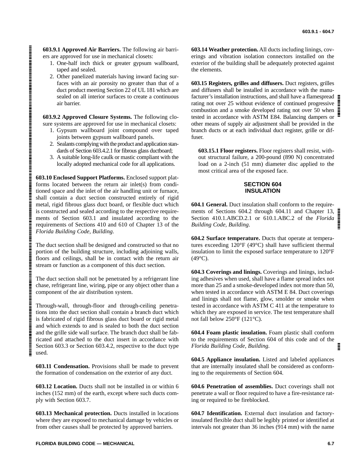**603.9.1 Approved Air Barriers.** The following air barriers are approved for use in mechanical closets:

- 1. One-half inch thick or greater gypsum wallboard, taped and sealed.
- 2. Other panelized materials having inward facing surfaces with an air porosity no greater than that of a duct product meeting Section 22 of UL 181 which are sealed on all interior surfaces to create a continuous air barrier.

**603.9.2 Approved Closure Systems.** The following closure systems are approved for use in mechanical closets:

Ē

**Contract Contract** 

- 1. Gypsum wallboard joint compound over taped joints between gypsum wallboard panels.
- 2. Sealants complying with the product and application standards of Section 603.4.2.1 for fibrous glass ductboard;
- 3. A suitable long-life caulk or mastic compliant with the locally adopted mechanical code for all applications.

**603.10 Enclosed Support Platforms.** Enclosed support platforms located between the return air inlet(s) from conditioned space and the inlet of the air handling unit or furnace, shall contain a duct section constructed entirely of rigid metal, rigid fibrous glass duct board, or flexible duct which is constructed and sealed according to the respective requirements of Section 603.1 and insulated according to the requirements of Sections 410 and 610 of Chapter 13 of the *Florida Building Code, Building*.

The duct section shall be designed and constructed so that no portion of the building structure, including adjoining walls, floors and ceilings, shall be in contact with the return air stream or function as a component of this duct section.

The duct section shall not be penetrated by a refrigerant line chase, refrigerant line, wiring, pipe or any object other than a component of the air distribution system.

Through-wall, through-floor and through-ceiling penetrations into the duct section shall contain a branch duct which is fabricated of rigid fibrous glass duct board or rigid metal and which extends to and is sealed to both the duct section and the grille side wall surface. The branch duct shall be fabricated and attached to the duct insert in accordance with Section 603.3 or Section 603.4.2, respective to the duct type used.

**603.11 Condensation.** Provisions shall be made to prevent the formation of condensation on the exterior of any duct.

**603.12 Location.** Ducts shall not be installed in or within 6 inches (152 mm) of the earth, except where such ducts comply with Section 603.7.

**603.13 Mechanical protection.** Ducts installed in locations where they are exposed to mechanical damage by vehicles or from other causes shall be protected by approved barriers.

**603.14 Weather protection.** All ducts including linings, coverings and vibration isolation connectors installed on the exterior of the building shall be adequately protected against the elements.

**603.15 Registers, grilles and diffusers.** Duct registers, grilles and diffusers shall be installed in accordance with the manufacturer's installation instructions, and shall have a flamespread  $\equiv$ rating not over 25 without evidence of continued progressive combustion and a smoke developed rating not over  $50$  when  $\overline{\phantom{1}}$ tested in accordance with ASTM E84. Balancing dampers or other means of supply air adjustment shall be provided in the branch ducts or at each individual duct register, grille or diffuser.

**603.15.1 Floor registers.** Floor registers shall resist, without structural failure, a 200-pound (890 N) concentrated load on a 2-inch (51 mm) diameter disc applied to the most critical area of the exposed face.

#### **SECTION 604 INSULATION**

**604.1 General.** Duct insulation shall conform to the requirements of Sections 604.2 through 604.11 and Chapter 13,  $\overline{\phantom{a}}$ Section 410.1.ABCD.2.1 or 610.1.ABC.2 of the *Florida Building Code, Building*.

**604.2 Surface temperature.** Ducts that operate at temperatures exceeding 120°F (49°C) shall have sufficient thermal insulation to limit the exposed surface temperature to 120°F  $(49^{\circ}C)$ .

**604.3 Coverings and linings.** Coverings and linings, including adhesives when used, shall have a flame spread index not more than 25 and a smoke-developed index not more than 50, when tested in accordance with ASTM E 84. Duct coverings and linings shall not flame, glow, smolder or smoke when tested in accordance with ASTM C 411 at the temperature to which they are exposed in service. The test temperature shall not fall below 250°F (121°C).

**604.4 Foam plastic insulation.** Foam plastic shall conform to the requirements of Section 604 of this code and of the *Florida Building Code, Building*.

**604.5 Appliance insulation.** Listed and labeled appliances that are internally insulated shall be considered as conforming to the requirements of Section 604.

**604.6 Penetration of assemblies.** Duct coverings shall not penetrate a wall or floor required to have a fire-resistance rating or required to be fireblocked.

**604.7 Identification.** External duct insulation and factoryinsulated flexible duct shall be legibly printed or identified at intervals not greater than 36 inches (914 mm) with the name

Ī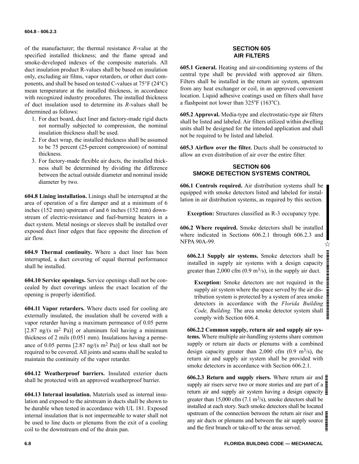of the manufacturer; the thermal resistance *R*-value at the specified installed thickness; and the flame spread and smoke-developed indexes of the composite materials. All duct insulation product R-values shall be based on insulation only, excluding air films, vapor retarders, or other duct components, and shall be based on tested C-values at 75°F (24°C) mean temperature at the installed thickness, in accordance with recognized industry procedures. The installed thickness of duct insulation used to determine its *R*-values shall be determined as follows:

- 1. For duct board, duct liner and factory-made rigid ducts not normally subjected to compression, the nominal insulation thickness shall be used.
- 2. For duct wrap, the installed thickness shall be assumed to be 75 percent (25-percent compression) of nominal thickness.
- 3. For factory-made flexible air ducts, the installed thickness shall be determined by dividing the difference between the actual outside diameter and nominal inside diameter by two.

**604.8 Lining installation.** Linings shall be interrupted at the area of operation of a fire damper and at a minimum of 6 inches (152 mm) upstream of and 6 inches (152 mm) downstream of electric-resistance and fuel-burning heaters in a duct system. Metal nosings or sleeves shall be installed over exposed duct liner edges that face opposite the direction of air flow.

**604.9 Thermal continuity.** Where a duct liner has been interrupted, a duct covering of equal thermal performance shall be installed.

**604.10 Service openings.** Service openings shall not be concealed by duct coverings unless the exact location of the opening is properly identified.

**604.11 Vapor retarders.** Where ducts used for cooling are externally insulated, the insulation shall be covered with a vapor retarder having a maximum permeance of 0.05 perm  $[2.87 \text{ ng/(s m}^2 \text{ Pa})]$  or aluminum foil having a minimum thickness of 2 mils (0.051 mm). Insulations having a permeance of 0.05 perms  $[2.87 \text{ ng/(s m}^2 \text{ Pa)}]$  or less shall not be required to be covered. All joints and seams shall be sealed to maintain the continuity of the vapor retarder.

**604.12 Weatherproof barriers.** Insulated exterior ducts shall be protected with an approved weatherproof barrier.

**604.13 Internal insulation.** Materials used as internal insulation and exposed to the airstream in ducts shall be shown to be durable when tested in accordance with UL 181. Exposed internal insulation that is not impermeable to water shall not be used to line ducts or plenums from the exit of a cooling coil to the downstream end of the drain pan.

#### **SECTION 605 AIR FILTERS**

**605.1 General.** Heating and air-conditioning systems of the central type shall be provided with approved air filters. Filters shall be installed in the return air system, upstream from any heat exchanger or coil, in an approved convenient location. Liquid adhesive coatings used on filters shall have a flashpoint not lower than 325°F (163°C).

**605.2 Approval.** Media-type and electrostatic-type air filters shall be listed and labeled. Air filters utilized within dwelling units shall be designed for the intended application and shall not be required to be listed and labeled.

**605.3 Airflow over the filter.** Ducts shall be constructed to allow an even distribution of air over the entire filter.

#### **SECTION 606 SMOKE DETECTION SYSTEMS CONTROL**

**606.1 Controls required.** Air distribution systems shall be equipped with smoke detectors listed and labeled for installation in air distribution systems, as required by this section.

**Exception:** Structures classified as R-3 occupancy type.

**606.2 Where required.** Smoke detectors shall be installed where indicated in Sections 606.2.1 through 606.2.3 and NFPA 90A-99. ☆

**606.2.1 Supply air systems.** Smoke detectors shall be installed in supply air systems with a design capacity greater than 2,000 cfm  $(0.9 \text{ m}^3/\text{s})$ , in the supply air duct.

**Exception:** Smoke detectors are not required in the supply air system where the space served by the air distribution system is protected by a system of area smoke  $\equiv$ detectors in accordance with the *Florida Building Code, Building.* The area smoke detector system shall<br>comply with Section 606.4. comply with Section 606.4.

**606.2.2 Common supply, return air and supply air systems.** Where multiple air-handling systems share common supply or return air ducts or plenums with a combined design capacity greater than 2,000 cfm  $(0.9 \text{ m}^3/\text{s})$ , the return air and supply air system shall be provided with smoke detectors in accordance with Section 606.2.1.

**606.2.3 Return and supply risers.** Where return air and  $\equiv$ supply air risers serve two or more stories and are part of a  $\equiv$ return air and supply air system having a design capacity  $\equiv$ greater than 15,000 cfm  $(7.1 \text{ m}^3/\text{s})$ , smoke detectors shall be installed at each story. Such smoke detectors shall be located upstream of the connection between the return air riser and any air ducts or plenums and between the air supply source and the first branch or take-off to the areas served. Ē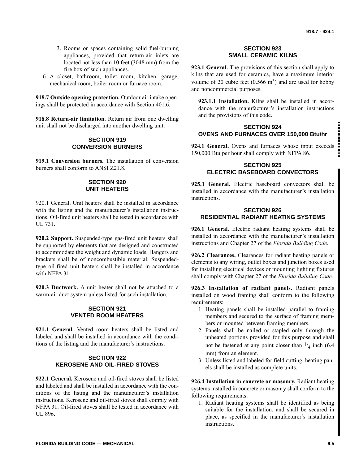- 3. Rooms or spaces containing solid fuel-burning appliances, provided that return-air inlets are located not less than 10 feet (3048 mm) from the fire box of such appliances.
- 6. A closet, bathroom, toilet room, kitchen, garage, mechanical room, boiler room or furnace room.

**918.7 Outside opening protection.** Outdoor air intake openings shall be protected in accordance with Section 401.6.

**918.8 Return-air limitation.** Return air from one dwelling unit shall not be discharged into another dwelling unit.

#### **SECTION 919 CONVERSION BURNERS**

**919.1 Conversion burners.** The installation of conversion burners shall conform to ANSI Z21.8.

#### **SECTION 920 UNIT HEATERS**

920.1 General. Unit heaters shall be installed in accordance with the listing and the manufacturer's installation instructions. Oil-fired unit heaters shall be tested in accordance with UL 731.

**920.2 Support.** Suspended-type gas-fired unit heaters shall be supported by elements that are designed and constructed to accommodate the weight and dynamic loads. Hangers and brackets shall be of noncombustible material. Suspendedtype oil-fired unit heaters shall be installed in accordance with NFPA 31.

**920.3 Ductwork.** A unit heater shall not be attached to a warm-air duct system unless listed for such installation.

#### **SECTION 921 VENTED ROOM HEATERS**

**921.1 General.** Vented room heaters shall be listed and labeled and shall be installed in accordance with the conditions of the listing and the manufacturer's instructions.

#### **SECTION 922 KEROSENE AND OIL-FIRED STOVES**

**922.1 General.** Kerosene and oil-fired stoves shall be listed and labeled and shall be installed in accordance with the conditions of the listing and the manufacturer's installation instructions. Kerosene and oil-fired stoves shall comply with NFPA 31. Oil-fired stoves shall be tested in accordance with UL 896.

#### **SECTION 923 SMALL CERAMIC KILNS**

**923.1 General. T**he provisions of this section shall apply to kilns that are used for ceramics, have a maximum interior volume of 20 cubic feet  $(0.566 \text{ m}^3)$  and are used for hobby and noncommercial purposes.

**923.1.1 Installation.** Kilns shall be installed in accordance with the manufacturer's installation instructions and the provisions of this code.

#### **SECTION 924 OVENS AND FURNACES OVER 150,000 Btu/hr**

**924.1 General.** Ovens and furnaces whose input exceeds 150,000 Btu per hour shall comply with NFPA 86.

#### **SECTION 925 ELECTRIC BASEBOARD CONVECTORS**

**925.1 General.** Electric baseboard convectors shall be installed in accordance with the manufacturer's installation instructions.

#### **SECTION 926 RESIDENTIAL RADIANT HEATING SYSTEMS**

**926.1 General.** Electric radiant heating systems shall be installed in accordance with the manufacturer's installation instructions and Chapter 27 of the *Florida Building Code*.

**926.2 Clearances.** Clearances for radiant heating panels or elements to any wiring, outlet boxes and junction boxes used for installing electrical devices or mounting lighting fixtures shall comply with Chapter 27 of the *Florida Building Code.*

**926.3 Installation of radiant panels.** Radiant panels installed on wood framing shall conform to the following requirements:

- 1. Heating panels shall be installed parallel to framing members and secured to the surface of framing members or mounted between framing members.
- 2. Panels shall be nailed or stapled only through the unheated portions provided for this purpose and shall not be fastened at any point closer than  $\frac{1}{4}$  inch (6.4) mm) from an element.
- 3. Unless listed and labeled for field cutting, heating panels shall be installed as complete units.

**926.4 Installation in concrete or masonry.** Radiant heating systems installed in concrete or masonry shall conform to the following requirements:

1. Radiant heating systems shall be identified as being suitable for the installation, and shall be secured in place, as specified in the manufacturer's installation instructions.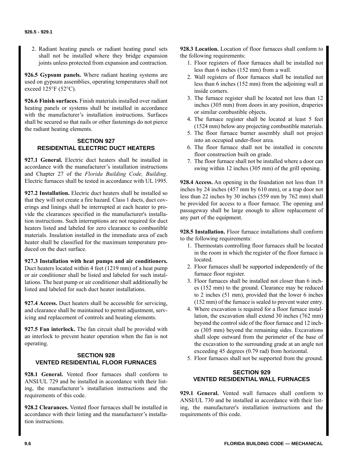2. Radiant heating panels or radiant heating panel sets shall not be installed where they bridge expansion joints unless protected from expansion and contraction.

**926.5 Gypsum panels.** Where radiant heating systems are used on gypsum assemblies, operating temperatures shall not exceed 125°F (52°C).

**926.6 Finish surfaces.** Finish materials installed over radiant heating panels or systems shall be installed in accordance with the manufacturer's installation instructions. Surfaces shall be secured so that nails or other fastenings do not pierce the radiant heating elements.

#### **SECTION 927 RESIDENTIAL ELECTRIC DUCT HEATERS**

**927.1 General.** Electric duct heaters shall be installed in accordance with the manufacturer's installation instructions and Chapter 27 of the *Florida Building Code, Building*. Electric furnaces shall be tested in accordance with UL 1995.

**927.2 Installation.** Electric duct heaters shall be installed so that they will not create a fire hazard. Class 1 ducts, duct coverings and linings shall be interrupted at each heater to provide the clearances specified in the manufacturer's installation instructions. Such interruptions are not required for duct heaters listed and labeled for zero clearance to combustible materials. Insulation installed in the immediate area of each heater shall be classified for the maximum temperature produced on the duct surface.

**927.3 Installation with heat pumps and air conditioners.** Duct heaters located within 4 feet (1219 mm) of a heat pump or air conditioner shall be listed and labeled for such installations. The heat pump or air conditioner shall additionally be listed and labeled for such duct heater installations.

**927.4 Access.** Duct heaters shall be accessible for servicing, and clearance shall be maintained to permit adjustment, servicing and replacement of controls and heating elements.

**927.5 Fan interlock.** The fan circuit shall be provided with an interlock to prevent heater operation when the fan is not operating.

#### **SECTION 928 VENTED RESIDENTIAL FLOOR FURNACES**

**928.1 General.** Vented floor furnaces shall conform to ANSI/UL 729 and be installed in accordance with their listing, the manufacturer's installation instructions and the requirements of this code.

**928.2 Clearances.** Vented floor furnaces shall be installed in accordance with their listing and the manufacturer's installation instructions.

**928.3 Location.** Location of floor furnaces shall conform to the following requirements:

- 1. Floor registers of floor furnaces shall be installed not less than 6 inches (152 mm) from a wall.
- 2. Wall registers of floor furnaces shall be installed not less than 6 inches (152 mm) from the adjoining wall at inside corners.
- 3. The furnace register shall be located not less than 12 inches (305 mm) from doors in any position, draperies or similar combustible objects.
- 4. The furnace register shall be located at least 5 feet (1524 mm) below any projecting combustible materials.
- 5. The floor furnace burner assembly shall not project into an occupied under-floor area.
- 6. The floor furnace shall not be installed in concrete floor construction built on grade.
- 7. The floor furnace shall not be installed where a door can swing within 12 inches (305 mm) of the grill opening.

**928.4 Access.** An opening in the foundation not less than 18 inches by 24 inches (457 mm by 610 mm), or a trap door not less than 22 inches by 30 inches (559 mm by 762 mm) shall be provided for access to a floor furnace. The opening and passageway shall be large enough to allow replacement of any part of the equipment.

**928.5 Installation.** Floor furnace installations shall conform to the following requirements:

- 1. Thermostats controlling floor furnaces shall be located in the room in which the register of the floor furnace is located.
- 2. Floor furnaces shall be supported independently of the furnace floor register.
- 3. Floor furnaces shall be installed not closer than 6 inches (152 mm) to the ground. Clearance may be reduced to 2 inches (51 mm), provided that the lower 6 inches (152 mm) of the furnace is sealed to prevent water entry.
- 4. Where excavation is required for a floor furnace installation, the excavation shall extend 30 inches (762 mm) beyond the control side of the floor furnace and 12 inches (305 mm) beyond the remaining sides. Excavations shall slope outward from the perimeter of the base of the excavation to the surrounding grade at an angle not exceeding 45 degrees (0.79 rad) from horizontal.
- 5. Floor furnaces shall not be supported from the ground.

#### **SECTION 929 VENTED RESIDENTIAL WALL FURNACES**

**929.1 General.** Vented wall furnaces shall conform to ANSI/UL 730 and be installed in accordance with their listing, the manufacturer's installation instructions and the requirements of this code.